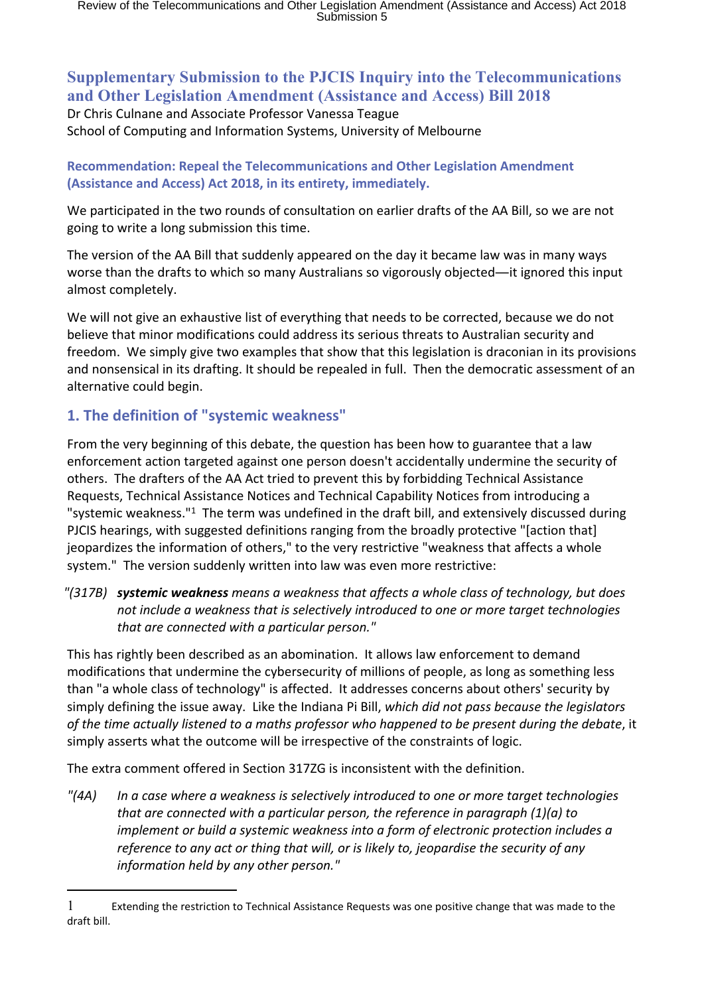# **Supplementary Submission to the PJCIS Inquiry into the Telecommunications and Other Legislation Amendment (Assistance and Access) Bill 2018**

Dr Chris Culnane and Associate Professor Vanessa Teague School of Computing and Information Systems, University of Melbourne

## **Recommendation: Repeal the Telecommunications and Other Legislation Amendment (Assistance and Access) Act 2018, in its entirety, immediately.**

We participated in the two rounds of consultation on earlier drafts of the AA Bill, so we are not going to write a long submission this time.

The version of the AA Bill that suddenly appeared on the day it became law was in many ways worse than the drafts to which so many Australians so vigorously objected―it ignored this input almost completely.

We will not give an exhaustive list of everything that needs to be corrected, because we do not believe that minor modifications could address its serious threats to Australian security and freedom. We simply give two examples that show that this legislation is draconian in its provisions and nonsensical in its drafting. It should be repealed in full. Then the democratic assessment of an alternative could begin.

## **1. The definition of "systemic weakness"**

From the very beginning of this debate, the question has been how to guarantee that a law enforcement action targeted against one person doesn't accidentally undermine the security of others. The drafters of the AA Act tried to prevent this by forbidding Technical Assistance Requests, Technical Assistance Notices and Technical Capability Notices from introducing a "systemic weakness."<sup>1</sup> The term was undefined in the draft bill, and extensively discussed during PJCIS hearings, with suggested definitions ranging from the broadly protective "[action that] jeopardizes the information of others," to the very restrictive "weakness that affects a whole system." The version suddenly written into law was even more restrictive:

*"(317B) systemic weakness means a weakness that affects a whole class of technology, but does not include a weakness that is selectively introduced to one or more target technologies that are connected with a particular person."*

This has rightly been described as an abomination. It allows law enforcement to demand modifications that undermine the cybersecurity of millions of people, as long as something less than "a whole class of technology" is affected. It addresses concerns about others' security by simply defining the issue away. Like the Indiana Pi Bill, *which did not pass because the legislators of the time actually listened to a maths professor who happened to be present during the debate*, it simply asserts what the outcome will be irrespective of the constraints of logic.

The extra comment offered in Section 317ZG is inconsistent with the definition.

*"(4A) In a case where a weakness is selectively introduced to one or more target technologies that are connected with a particular person, the reference in paragraph (1)(a) to implement or build a systemic weakness into a form of electronic protection includes a reference to any act or thing that will, or is likely to, jeopardise the security of any information held by any other person."*

<sup>1</sup> Extending the restriction to Technical Assistance Requests was one positive change that was made to the draft bill.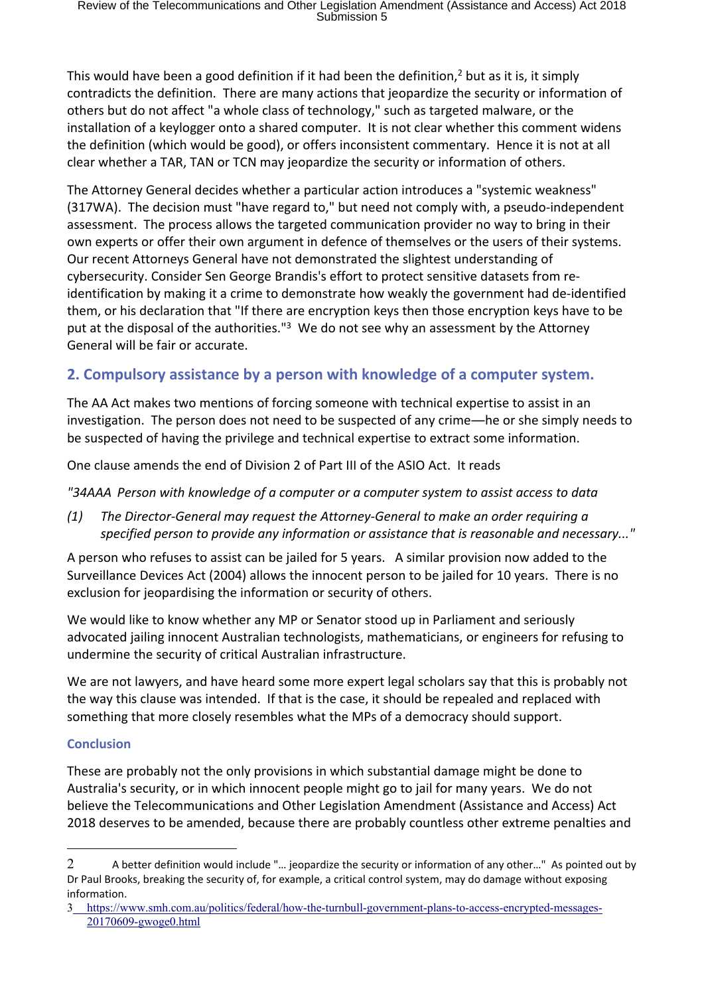This would have been a good definition if it had been the definition,<sup>2</sup> but as it is, it simply contradicts the definition. There are many actions that jeopardize the security or information of others but do not affect "a whole class of technology," such as targeted malware, or the installation of a keylogger onto a shared computer. It is not clear whether this comment widens the definition (which would be good), or offers inconsistent commentary. Hence it is not at all clear whether a TAR, TAN or TCN may jeopardize the security or information of others.

The Attorney General decides whether a particular action introduces a "systemic weakness" (317WA). The decision must "have regard to," but need not comply with, a pseudo-independent assessment. The process allows the targeted communication provider no way to bring in their own experts or offer their own argument in defence of themselves or the users of their systems. Our recent Attorneys General have not demonstrated the slightest understanding of cybersecurity. Consider Sen George Brandis's effort to protect sensitive datasets from reidentification by making it a crime to demonstrate how weakly the government had de-identified them, or his declaration that "If there are encryption keys then those encryption keys have to be put at the disposal of the authorities."<sup>3</sup> We do not see why an assessment by the Attorney General will be fair or accurate.

# **2. Compulsory assistance by a person with knowledge of a computer system.**

The AA Act makes two mentions of forcing someone with technical expertise to assist in an investigation. The person does not need to be suspected of any crime―he or she simply needs to be suspected of having the privilege and technical expertise to extract some information.

One clause amends the end of Division 2 of Part III of the ASIO Act. It reads

*"34AAA Person with knowledge of a computer or a computer system to assist access to data*

*(1) The Director-General may request the Attorney-General to make an order requiring a specified person to provide any information or assistance that is reasonable and necessary..."*

A person who refuses to assist can be jailed for 5 years. A similar provision now added to the Surveillance Devices Act (2004) allows the innocent person to be jailed for 10 years. There is no exclusion for jeopardising the information or security of others.

We would like to know whether any MP or Senator stood up in Parliament and seriously advocated jailing innocent Australian technologists, mathematicians, or engineers for refusing to undermine the security of critical Australian infrastructure.

We are not lawyers, and have heard some more expert legal scholars say that this is probably not the way this clause was intended. If that is the case, it should be repealed and replaced with something that more closely resembles what the MPs of a democracy should support.

## **Conclusion**

These are probably not the only provisions in which substantial damage might be done to Australia's security, or in which innocent people might go to jail for many years. We do not believe the Telecommunications and Other Legislation Amendment (Assistance and Access) Act 2018 deserves to be amended, because there are probably countless other extreme penalties and

<sup>2</sup> A better definition would include "... jeopardize the security or information of any other..." As pointed out by Dr Paul Brooks, breaking the security of, for example, a critical control system, may do damage without exposing information.

<sup>3</sup> [https://www.smh.com.au/politics/federal/how-the-turnbull-government-plans-to-access-encrypted-messages-](https://www.smh.com.au/politics/federal/how-the-turnbull-government-plans-to-access-encrypted-messages-20170609-gwoge0.html)[20170609-gwoge0.html](https://www.smh.com.au/politics/federal/how-the-turnbull-government-plans-to-access-encrypted-messages-20170609-gwoge0.html)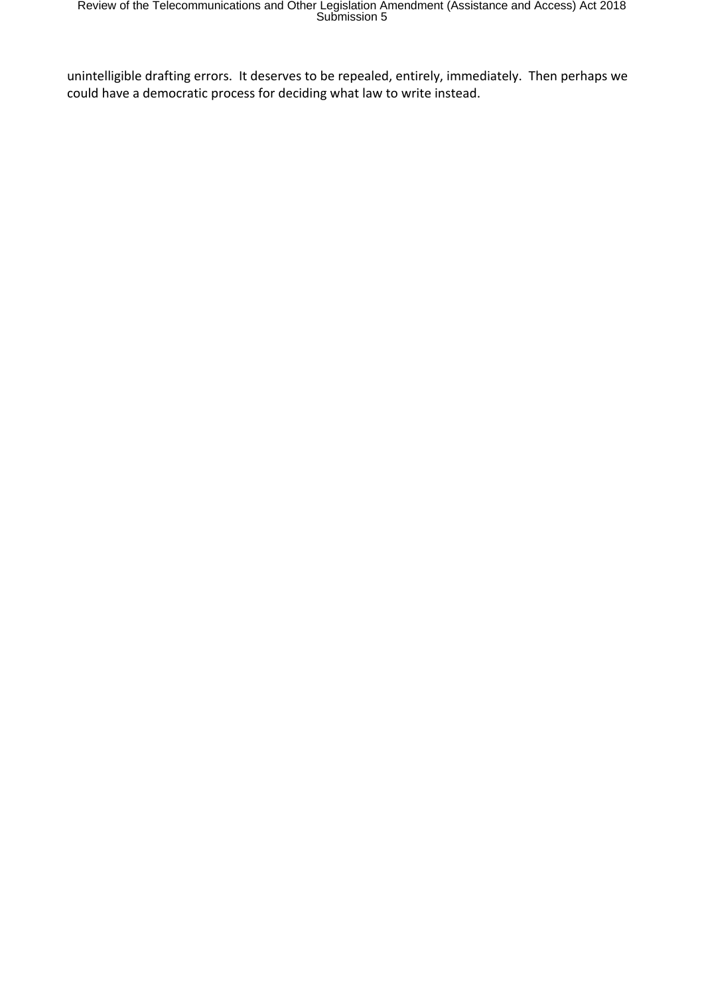unintelligible drafting errors. It deserves to be repealed, entirely, immediately. Then perhaps we could have a democratic process for deciding what law to write instead.